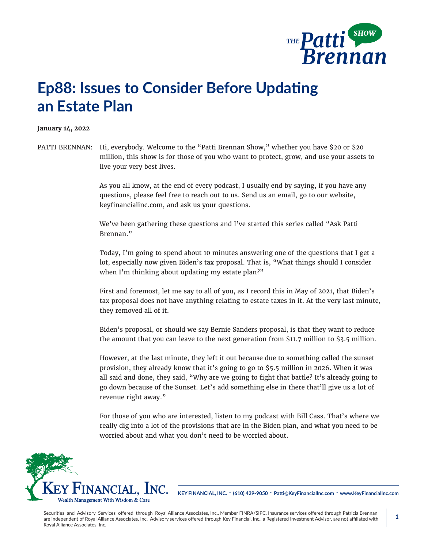

## **Ep88: Issues to Consider Before Updating an Estate Plan**

## **January 14, 2022**

PATTI BRENNAN: Hi, everybody. Welcome to the "Patti Brennan Show," whether you have \$20 or \$20 million, this show is for those of you who want to protect, grow, and use your assets to live your very best lives.

> As you all know, at the end of every podcast, I usually end by saying, if you have any questions, please feel free to reach out to us. Send us an email, go to our website, keyfinancialinc.com, and ask us your questions.

We've been gathering these questions and I've started this series called "Ask Patti Brennan."

Today, I'm going to spend about 10 minutes answering one of the questions that I get a lot, especially now given Biden's tax proposal. That is, "What things should I consider when I'm thinking about updating my estate plan?"

First and foremost, let me say to all of you, as I record this in May of 2021, that Biden's tax proposal does not have anything relating to estate taxes in it. At the very last minute, they removed all of it.

Biden's proposal, or should we say Bernie Sanders proposal, is that they want to reduce the amount that you can leave to the next generation from \$11.7 million to \$3.5 million.

However, at the last minute, they left it out because due to something called the sunset provision, they already know that it's going to go to \$5.5 million in 2026. When it was all said and done, they said, "Why are we going to fight that battle? It's already going to go down because of the Sunset. Let's add something else in there that'll give us a lot of revenue right away."

For those of you who are interested, listen to my podcast with Bill Cass. That's where we really dig into a lot of the provisions that are in the Biden plan, and what you need to be worried about and what you don't need to be worried about.



**KEY FINANCIAL, INC. • (610) 429-9050 • Patti@KeyFinancialInc.com • www.KeyFinancialInc.com**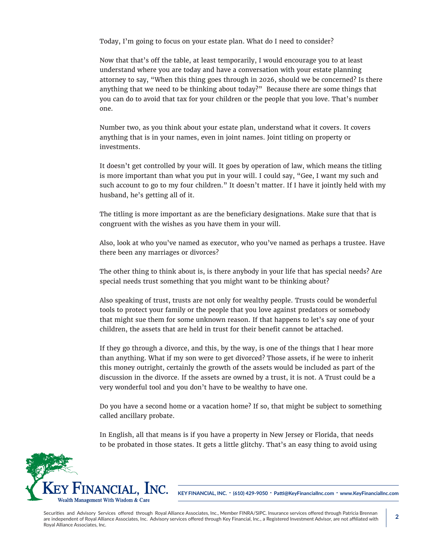Today, I'm going to focus on your estate plan. What do I need to consider?

Now that that's off the table, at least temporarily, I would encourage you to at least understand where you are today and have a conversation with your estate planning attorney to say, "When this thing goes through in 2026, should we be concerned? Is there anything that we need to be thinking about today?" Because there are some things that you can do to avoid that tax for your children or the people that you love. That's number one.

Number two, as you think about your estate plan, understand what it covers. It covers anything that is in your names, even in joint names. Joint titling on property or investments.

It doesn't get controlled by your will. It goes by operation of law, which means the titling is more important than what you put in your will. I could say, "Gee, I want my such and such account to go to my four children." It doesn't matter. If I have it jointly held with my husband, he's getting all of it.

The titling is more important as are the beneficiary designations. Make sure that that is congruent with the wishes as you have them in your will.

Also, look at who you've named as executor, who you've named as perhaps a trustee. Have there been any marriages or divorces?

The other thing to think about is, is there anybody in your life that has special needs? Are special needs trust something that you might want to be thinking about?

Also speaking of trust, trusts are not only for wealthy people. Trusts could be wonderful tools to protect your family or the people that you love against predators or somebody that might sue them for some unknown reason. If that happens to let's say one of your children, the assets that are held in trust for their benefit cannot be attached.

If they go through a divorce, and this, by the way, is one of the things that I hear more than anything. What if my son were to get divorced? Those assets, if he were to inherit this money outright, certainly the growth of the assets would be included as part of the discussion in the divorce. If the assets are owned by a trust, it is not. A Trust could be a very wonderful tool and you don't have to be wealthy to have one.

Do you have a second home or a vacation home? If so, that might be subject to something called ancillary probate.

In English, all that means is if you have a property in New Jersey or Florida, that needs to be probated in those states. It gets a little glitchy. That's an easy thing to avoid using



**KEY FINANCIAL, INC. • (610) 429-9050 • Patti@KeyFinancialInc.com • www.KeyFinancialInc.com**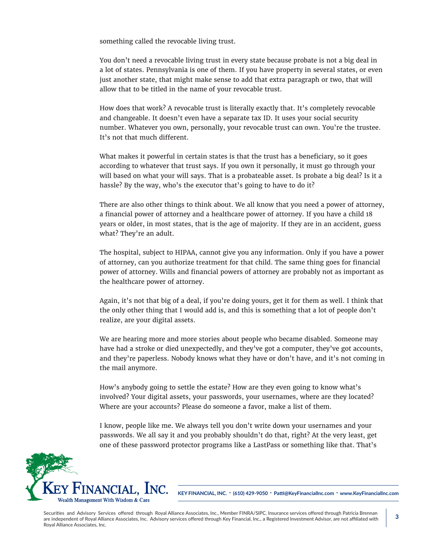something called the revocable living trust.

You don't need a revocable living trust in every state because probate is not a big deal in a lot of states. Pennsylvania is one of them. If you have property in several states, or even just another state, that might make sense to add that extra paragraph or two, that will allow that to be titled in the name of your revocable trust.

How does that work? A revocable trust is literally exactly that. It's completely revocable and changeable. It doesn't even have a separate tax ID. It uses your social security number. Whatever you own, personally, your revocable trust can own. You're the trustee. It's not that much different.

What makes it powerful in certain states is that the trust has a beneficiary, so it goes according to whatever that trust says. If you own it personally, it must go through your will based on what your will says. That is a probateable asset. Is probate a big deal? Is it a hassle? By the way, who's the executor that's going to have to do it?

There are also other things to think about. We all know that you need a power of attorney, a financial power of attorney and a healthcare power of attorney. If you have a child 18 years or older, in most states, that is the age of majority. If they are in an accident, guess what? They're an adult.

The hospital, subject to HIPAA, cannot give you any information. Only if you have a power of attorney, can you authorize treatment for that child. The same thing goes for financial power of attorney. Wills and financial powers of attorney are probably not as important as the healthcare power of attorney.

Again, it's not that big of a deal, if you're doing yours, get it for them as well. I think that the only other thing that I would add is, and this is something that a lot of people don't realize, are your digital assets.

We are hearing more and more stories about people who became disabled. Someone may have had a stroke or died unexpectedly, and they've got a computer, they've got accounts, and they're paperless. Nobody knows what they have or don't have, and it's not coming in the mail anymore.

How's anybody going to settle the estate? How are they even going to know what's involved? Your digital assets, your passwords, your usernames, where are they located? Where are your accounts? Please do someone a favor, make a list of them.

I know, people like me. We always tell you don't write down your usernames and your passwords. We all say it and you probably shouldn't do that, right? At the very least, get one of these password protector programs like a LastPass or something like that. That's



**KEY FINANCIAL, INC. • (610) 429-9050 • Patti@KeyFinancialInc.com • www.KeyFinancialInc.com**